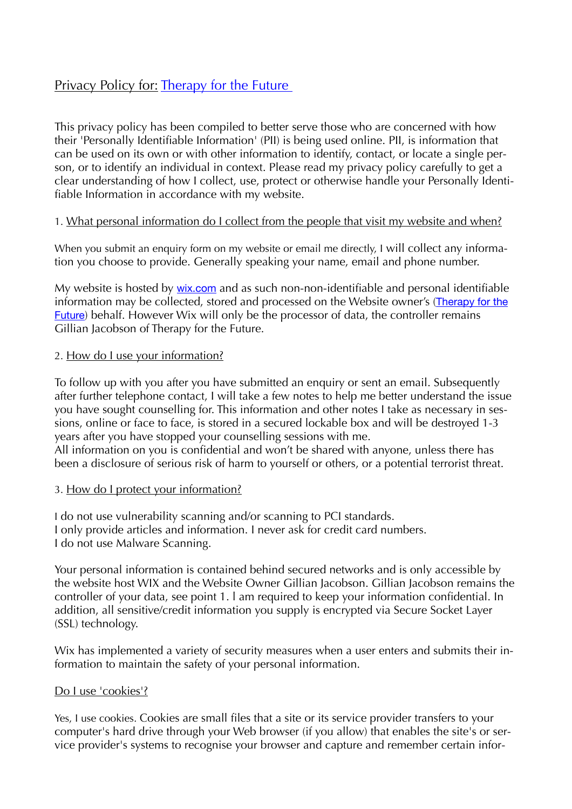# Privacy Policy for: [Therapy for the Future](http://therapyforthefuture.com)

This privacy policy has been compiled to better serve those who are concerned with how their 'Personally Identifiable Information' (PII) is being used online. PII, is information that can be used on its own or with other information to identify, contact, or locate a single person, or to identify an individual in context. Please read my privacy policy carefully to get a clear understanding of how I collect, use, protect or otherwise handle your Personally Identifiable Information in accordance with my website.

#### 1. What personal information do I collect from the people that visit my website and when?

When you submit an enquiry form on my website or email me directly, I will collect any information you choose to provide. Generally speaking your name, email and phone number.

My website is hosted by [wix.com](http://wix.com) and as such non-non-identifiable and personal identifiable information may be collected, stored and processed on the Website owner's ([Therapy for the](http://Therapyforthefuture.com)  [Future](http://Therapyforthefuture.com)) behalf. However Wix will only be the processor of data, the controller remains Gillian Jacobson of Therapy for the Future.

#### 2. How do I use your information?

To follow up with you after you have submitted an enquiry or sent an email. Subsequently after further telephone contact, I will take a few notes to help me better understand the issue you have sought counselling for. This information and other notes I take as necessary in sessions, online or face to face, is stored in a secured lockable box and will be destroyed 1-3 years after you have stopped your counselling sessions with me. All information on you is confidential and won't be shared with anyone, unless there has been a disclosure of serious risk of harm to yourself or others, or a potential terrorist threat.

#### 3. How do I protect your information?

I do not use vulnerability scanning and/or scanning to PCI standards. I only provide articles and information. I never ask for credit card numbers. I do not use Malware Scanning.

Your personal information is contained behind secured networks and is only accessible by the website host WIX and the Website Owner Gillian Jacobson. Gillian Jacobson remains the controller of your data, see point 1. l am required to keep your information confidential. In addition, all sensitive/credit information you supply is encrypted via Secure Socket Layer (SSL) technology.

Wix has implemented a variety of security measures when a user enters and submits their information to maintain the safety of your personal information.

#### Do I use 'cookies'?

Yes, I use cookies. Cookies are small files that a site or its service provider transfers to your computer's hard drive through your Web browser (if you allow) that enables the site's or service provider's systems to recognise your browser and capture and remember certain infor-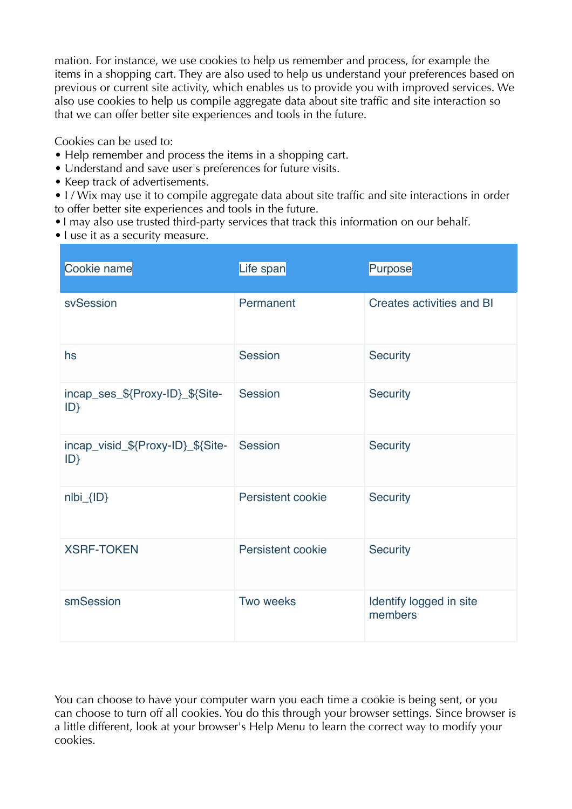mation. For instance, we use cookies to help us remember and process, for example the items in a shopping cart. They are also used to help us understand your preferences based on previous or current site activity, which enables us to provide you with improved services. We also use cookies to help us compile aggregate data about site traffic and site interaction so that we can offer better site experiences and tools in the future.

Cookies can be used to:

- Help remember and process the items in a shopping cart.
- Understand and save user's preferences for future visits.
- Keep track of advertisements.
- I/ Wix may use it to compile aggregate data about site traffic and site interactions in order to offer better site experiences and tools in the future.
- •I may also use trusted third-party services that track this information on our behalf.
- I use it as a security measure.

| Cookie name                             | Life span         | Purpose                            |
|-----------------------------------------|-------------------|------------------------------------|
| svSession                               | Permanent         | Creates activities and BI          |
| hs                                      | Session           | Security                           |
| incap_ses_\${Proxy-ID}_\${Site-<br>ID   | Session           | <b>Security</b>                    |
| incap_visid_\${Proxy-ID}_\${Site-<br>ID | Session           | Security                           |
| nlbi_{ID}                               | Persistent cookie | <b>Security</b>                    |
| <b>XSRF-TOKEN</b>                       | Persistent cookie | <b>Security</b>                    |
| smSession                               | Two weeks         | Identify logged in site<br>members |

You can choose to have your computer warn you each time a cookie is being sent, or you can choose to turn off all cookies. You do this through your browser settings. Since browser is a little different, look at your browser's Help Menu to learn the correct way to modify your cookies.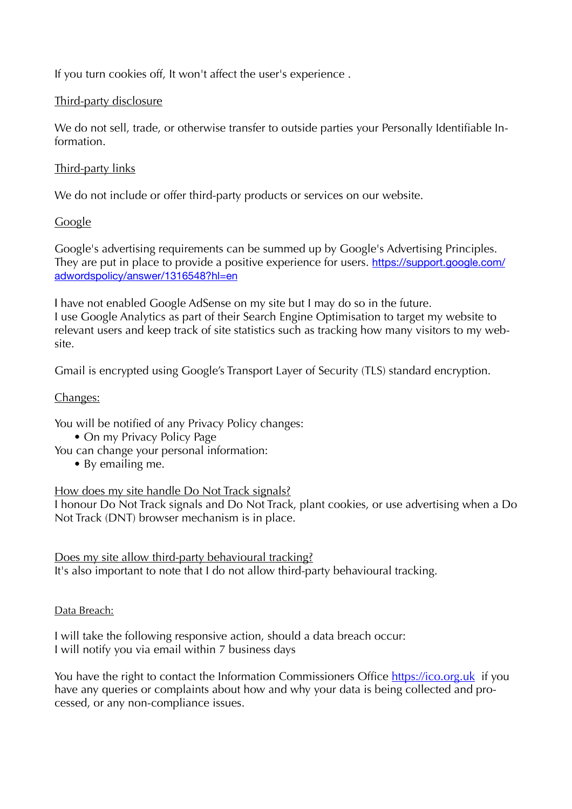If you turn cookies off, It won't affect the user's experience .

### Third-party disclosure

We do not sell, trade, or otherwise transfer to outside parties your Personally Identifiable Information.

## Third-party links

We do not include or offer third-party products or services on our website.

## **Google**

Google's advertising requirements can be summed up by Google's Advertising Principles. They are put in place to provide a positive experience for users. [https://support.google.com/](https://support.google.com/adwordspolicy/answer/1316548?hl=en) [adwordspolicy/answer/1316548?hl=en](https://support.google.com/adwordspolicy/answer/1316548?hl=en)

I have not enabled Google AdSense on my site but I may do so in the future. I use Google Analytics as part of their Search Engine Optimisation to target my website to relevant users and keep track of site statistics such as tracking how many visitors to my website.

Gmail is encrypted using Google's Transport Layer of Security (TLS) standard encryption.

### Changes:

You will be notified of any Privacy Policy changes:

- On my Privacy Policy Page
- You can change your personal information:
	- By emailing me.

How does my site handle Do Not Track signals?

I honour Do Not Track signals and Do Not Track, plant cookies, or use advertising when a Do Not Track (DNT) browser mechanism is in place.

Does my site allow third-party behavioural tracking?

It's also important to note that I do not allow third-party behavioural tracking.

Data Breach:

I will take the following responsive action, should a data breach occur: I will notify you via email within 7 business days

You have the right to contact the Information Commissioners Office<https://ico.org.uk> if you have any queries or complaints about how and why your data is being collected and processed, or any non-compliance issues.